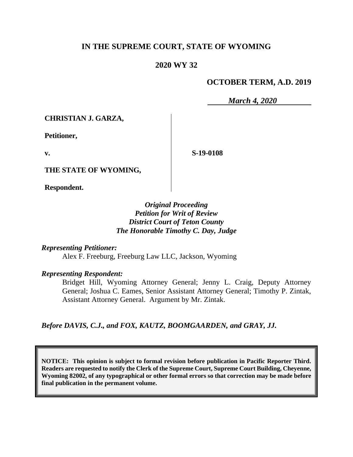## **IN THE SUPREME COURT, STATE OF WYOMING**

### **2020 WY 32**

### **OCTOBER TERM, A.D. 2019**

*March 4, 2020*

**CHRISTIAN J. GARZA,**

**Petitioner,**

**v.**

**S-19-0108**

**THE STATE OF WYOMING,**

**Respondent.**

### *Original Proceeding Petition for Writ of Review District Court of Teton County The Honorable Timothy C. Day, Judge*

*Representing Petitioner:*

Alex F. Freeburg, Freeburg Law LLC, Jackson, Wyoming

*Representing Respondent:*

Bridget Hill, Wyoming Attorney General; Jenny L. Craig, Deputy Attorney General; Joshua C. Eames, Senior Assistant Attorney General; Timothy P. Zintak, Assistant Attorney General. Argument by Mr. Zintak.

*Before DAVIS, C.J., and FOX, KAUTZ, BOOMGAARDEN, and GRAY, JJ.*

**NOTICE: This opinion is subject to formal revision before publication in Pacific Reporter Third. Readers are requested to notify the Clerk of the Supreme Court, Supreme Court Building, Cheyenne, Wyoming 82002, of any typographical or other formal errors so that correction may be made before final publication in the permanent volume.**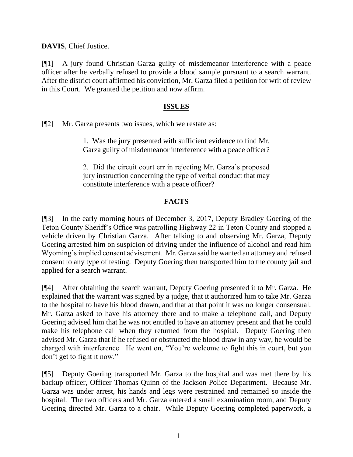**DAVIS**, Chief Justice.

[¶1] A jury found Christian Garza guilty of misdemeanor interference with a peace officer after he verbally refused to provide a blood sample pursuant to a search warrant. After the district court affirmed his conviction, Mr. Garza filed a petition for writ of review in this Court. We granted the petition and now affirm.

### **ISSUES**

[¶2] Mr. Garza presents two issues, which we restate as:

1. Was the jury presented with sufficient evidence to find Mr. Garza guilty of misdemeanor interference with a peace officer?

2. Did the circuit court err in rejecting Mr. Garza's proposed jury instruction concerning the type of verbal conduct that may constitute interference with a peace officer?

# **FACTS**

[¶3] In the early morning hours of December 3, 2017, Deputy Bradley Goering of the Teton County Sheriff's Office was patrolling Highway 22 in Teton County and stopped a vehicle driven by Christian Garza. After talking to and observing Mr. Garza, Deputy Goering arrested him on suspicion of driving under the influence of alcohol and read him Wyoming's implied consent advisement. Mr. Garza said he wanted an attorney and refused consent to any type of testing. Deputy Goering then transported him to the county jail and applied for a search warrant.

[¶4] After obtaining the search warrant, Deputy Goering presented it to Mr. Garza. He explained that the warrant was signed by a judge, that it authorized him to take Mr. Garza to the hospital to have his blood drawn, and that at that point it was no longer consensual. Mr. Garza asked to have his attorney there and to make a telephone call, and Deputy Goering advised him that he was not entitled to have an attorney present and that he could make his telephone call when they returned from the hospital. Deputy Goering then advised Mr. Garza that if he refused or obstructed the blood draw in any way, he would be charged with interference. He went on, "You're welcome to fight this in court, but you don't get to fight it now."

[¶5] Deputy Goering transported Mr. Garza to the hospital and was met there by his backup officer, Officer Thomas Quinn of the Jackson Police Department. Because Mr. Garza was under arrest, his hands and legs were restrained and remained so inside the hospital. The two officers and Mr. Garza entered a small examination room, and Deputy Goering directed Mr. Garza to a chair. While Deputy Goering completed paperwork, a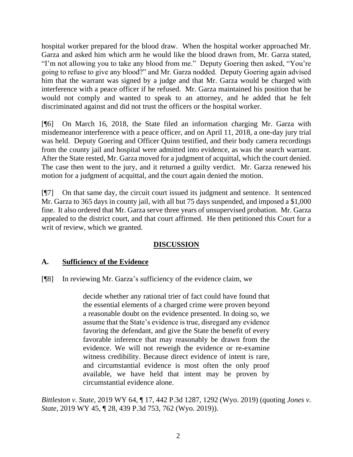hospital worker prepared for the blood draw. When the hospital worker approached Mr. Garza and asked him which arm he would like the blood drawn from, Mr. Garza stated, "I'm not allowing you to take any blood from me." Deputy Goering then asked, "You're going to refuse to give any blood?" and Mr. Garza nodded. Deputy Goering again advised him that the warrant was signed by a judge and that Mr. Garza would be charged with interference with a peace officer if he refused. Mr. Garza maintained his position that he would not comply and wanted to speak to an attorney, and he added that he felt discriminated against and did not trust the officers or the hospital worker.

[¶6] On March 16, 2018, the State filed an information charging Mr. Garza with misdemeanor interference with a peace officer, and on April 11, 2018, a one-day jury trial was held. Deputy Goering and Officer Quinn testified, and their body camera recordings from the county jail and hospital were admitted into evidence, as was the search warrant. After the State rested, Mr. Garza moved for a judgment of acquittal, which the court denied. The case then went to the jury, and it returned a guilty verdict. Mr. Garza renewed his motion for a judgment of acquittal, and the court again denied the motion.

[¶7] On that same day, the circuit court issued its judgment and sentence. It sentenced Mr. Garza to 365 days in county jail, with all but 75 days suspended, and imposed a \$1,000 fine. It also ordered that Mr. Garza serve three years of unsupervised probation. Mr. Garza appealed to the district court, and that court affirmed. He then petitioned this Court for a writ of review, which we granted.

# **DISCUSSION**

# **A. Sufficiency of the Evidence**

[¶8] In reviewing Mr. Garza's sufficiency of the evidence claim, we

decide whether any rational trier of fact could have found that the essential elements of a charged crime were proven beyond a reasonable doubt on the evidence presented. In doing so, we assume that the State's evidence is true, disregard any evidence favoring the defendant, and give the State the benefit of every favorable inference that may reasonably be drawn from the evidence. We will not reweigh the evidence or re-examine witness credibility. Because direct evidence of intent is rare, and circumstantial evidence is most often the only proof available, we have held that intent may be proven by circumstantial evidence alone.

*Bittleston v. State*, 2019 WY 64, ¶ 17, 442 P.3d 1287, 1292 (Wyo. 2019) (quoting *[Jones v.](http://www.westlaw.com/Link/Document/FullText?findType=Y&serNum=2048092195&pubNum=0004645&originatingDoc=If8ba590093b011e9a3ecec4a01914b9c&refType=RP&fi=co_pp_sp_4645_762&originationContext=document&vr=3.0&rs=cblt1.0&transitionType=DocumentItem&contextData=(sc.Search)#co_pp_sp_4645_762)  State*[, 2019 WY 45, ¶ 28, 439 P.3d 753, 762 \(Wyo. 2019\)\)](http://www.westlaw.com/Link/Document/FullText?findType=Y&serNum=2048092195&pubNum=0004645&originatingDoc=If8ba590093b011e9a3ecec4a01914b9c&refType=RP&fi=co_pp_sp_4645_762&originationContext=document&vr=3.0&rs=cblt1.0&transitionType=DocumentItem&contextData=(sc.Search)#co_pp_sp_4645_762).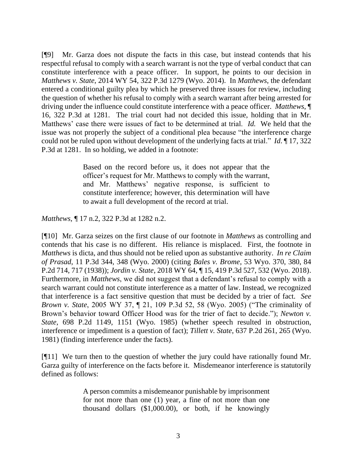[¶9] Mr. Garza does not dispute the facts in this case, but instead contends that his respectful refusal to comply with a search warrant is not the type of verbal conduct that can constitute interference with a peace officer. In support, he points to our decision in *Matthews v. State*, 2014 WY 54, 322 P.3d 1279 (Wyo. 2014). In *Matthews*, the defendant entered a conditional guilty plea by which he preserved three issues for review, including the question of whether his refusal to comply with a search warrant after being arrested for driving under the influence could constitute interference with a peace officer. *Matthews*, ¶ 16, 322 P.3d at 1281. The trial court had not decided this issue, holding that in Mr. Matthews' case there were issues of fact to be determined at trial. *Id.* We held that the issue was not properly the subject of a conditional plea because "the interference charge could not be ruled upon without development of the underlying facts at trial." *Id*. ¶ 17, 322 P.3d at 1281. In so holding, we added in a footnote:

> Based on the record before us, it does not appear that the officer's request for Mr. Matthews to comply with the warrant, and Mr. Matthews' negative response, is sufficient to constitute interference; however, this determination will have to await a full development of the record at trial.

*Matthews*, ¶ 17 n.2, 322 P.3d at 1282 n.2.

[¶10] Mr. Garza seizes on the first clause of our footnote in *Matthews* as controlling and contends that his case is no different. His reliance is misplaced. First, the footnote in *Matthews* is dicta, and thus should not be relied upon as substantive authority. *In re Claim of Prasad*, 11 P.3d 344, 348 (Wyo. 2000) (citing *Bales v. Brome*, 53 Wyo. 370, 380, 84 P.2d 714, 717 (1938)); *Jordin v. State*, 2018 WY 64, ¶ 15, 419 P.3d 527, 532 (Wyo. 2018). Furthermore, in *Matthews*, we did not suggest that a defendant's refusal to comply with a search warrant could not constitute interference as a matter of law. Instead, we recognized that interference is a fact sensitive question that must be decided by a trier of fact. *See Brown v. State*, 2005 WY 37, ¶ 21, 109 P.3d 52, 58 (Wyo. 2005) ("The criminality of Brown's behavior toward Officer Hood was for the trier of fact to decide."); *Newton v. State*, 698 P.2d 1149, 1151 (Wyo. 1985) (whether speech resulted in obstruction, interference or impediment is a question of fact); *Tillett v. State*, 637 P.2d 261, 265 (Wyo. 1981) (finding interference under the facts).

[¶11] We turn then to the question of whether the jury could have rationally found Mr. Garza guilty of interference on the facts before it. Misdemeanor interference is statutorily defined as follows:

> A person commits a misdemeanor punishable by imprisonment for not more than one (1) year, a fine of not more than one thousand dollars (\$1,000.00), or both, if he knowingly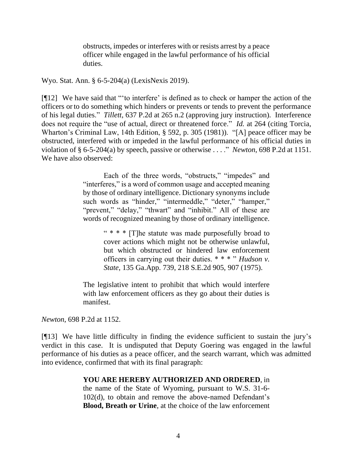obstructs, impedes or interferes with or resists arrest by a peace officer while engaged in the lawful performance of his official duties.

Wyo. Stat. Ann. § 6-5-204(a) (LexisNexis 2019).

[¶12] We have said that "'to interfere' is defined as to check or hamper the action of the officers or to do something which hinders or prevents or tends to prevent the performance of his legal duties." *Tillett*, 637 P.2d at 265 n.2 (approving jury instruction). Interference does not require the "use of actual, direct or threatened force." *Id.* at 264 (citing Torcia, Wharton's Criminal Law, 14th Edition, § 592, p. 305 (1981)). "[A] peace officer may be obstructed, interfered with or impeded in the lawful performance of his official duties in violation of § 6-5-204(a) by speech, passive or otherwise . . . ." *Newton*, 698 P.2d at 1151. We have also observed:

> Each of the three words, "obstructs," "impedes" and "interferes," is a word of common usage and accepted meaning by those of ordinary intelligence. Dictionary synonyms include such words as "hinder," "intermeddle," "deter," "hamper," "prevent," "delay," "thwart" and "inhibit." All of these are words of recognized meaning by those of ordinary intelligence.

> > " \* \* \* [T]he statute was made purposefully broad to cover actions which might not be otherwise unlawful, but which obstructed or hindered law enforcement officers in carrying out their duties. \* \* \* " *[Hudson v.](http://www.westlaw.com/Link/Document/FullText?findType=Y&serNum=1975132135&pubNum=0000711&originatingDoc=Iba917febf39311d983e7e9deff98dc6f&refType=RP&fi=co_pp_sp_711_907&originationContext=document&vr=3.0&rs=cblt1.0&transitionType=DocumentItem&contextData=(sc.Search)#co_pp_sp_711_907)  State*[, 135 Ga.App. 739, 218 S.E.2d 905, 907 \(1975\).](http://www.westlaw.com/Link/Document/FullText?findType=Y&serNum=1975132135&pubNum=0000711&originatingDoc=Iba917febf39311d983e7e9deff98dc6f&refType=RP&fi=co_pp_sp_711_907&originationContext=document&vr=3.0&rs=cblt1.0&transitionType=DocumentItem&contextData=(sc.Search)#co_pp_sp_711_907)

The legislative intent to prohibit that which would interfere with law enforcement officers as they go about their duties is manifest.

*Newton*, 698 P.2d at 1152.

[¶13] We have little difficulty in finding the evidence sufficient to sustain the jury's verdict in this case. It is undisputed that Deputy Goering was engaged in the lawful performance of his duties as a peace officer, and the search warrant, which was admitted into evidence, confirmed that with its final paragraph:

#### **YOU ARE HEREBY AUTHORIZED AND ORDERED**, in

the name of the State of Wyoming, pursuant to W.S. 31-6- 102(d), to obtain and remove the above-named Defendant's **Blood, Breath or Urine**, at the choice of the law enforcement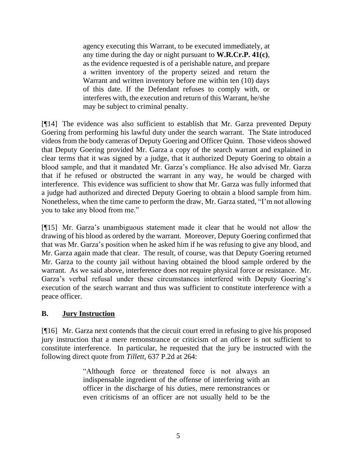agency executing this Warrant, to be executed immediately, at any time during the day or night pursuant to **W.R.Cr.P. 41(c)**, as the evidence requested is of a perishable nature, and prepare a written inventory of the property seized and return the Warrant and written inventory before me within ten (10) days of this date. If the Defendant refuses to comply with, or interferes with, the execution and return of this Warrant, he/she may be subject to criminal penalty.

[¶14] The evidence was also sufficient to establish that Mr. Garza prevented Deputy Goering from performing his lawful duty under the search warrant. The State introduced videos from the body cameras of Deputy Goering and Officer Quinn. Those videos showed that Deputy Goering provided Mr. Garza a copy of the search warrant and explained in clear terms that it was signed by a judge, that it authorized Deputy Goering to obtain a blood sample, and that it mandated Mr. Garza's compliance. He also advised Mr. Garza that if he refused or obstructed the warrant in any way, he would be charged with interference. This evidence was sufficient to show that Mr. Garza was fully informed that a judge had authorized and directed Deputy Goering to obtain a blood sample from him. Nonetheless, when the time came to perform the draw, Mr. Garza stated, "I'm not allowing you to take any blood from me."

[¶15] Mr. Garza's unambiguous statement made it clear that he would not allow the drawing of his blood as ordered by the warrant. Moreover, Deputy Goering confirmed that that was Mr. Garza's position when he asked him if he was refusing to give any blood, and Mr. Garza again made that clear. The result, of course, was that Deputy Goering returned Mr. Garza to the county jail without having obtained the blood sample ordered by the warrant. As we said above, interference does not require physical force or resistance. Mr. Garza's verbal refusal under these circumstances interfered with Deputy Goering's execution of the search warrant and thus was sufficient to constitute interference with a peace officer.

## **B. Jury Instruction**

[¶16] Mr. Garza next contends that the circuit court erred in refusing to give his proposed jury instruction that a mere remonstrance or criticism of an officer is not sufficient to constitute interference. In particular, he requested that the jury be instructed with the following direct quote from *Tillett*, 637 P.2d at 264:

> "Although force or threatened force is not always an indispensable ingredient of the offense of interfering with an officer in the discharge of his duties, mere remonstrances or even criticisms of an officer are not usually held to be the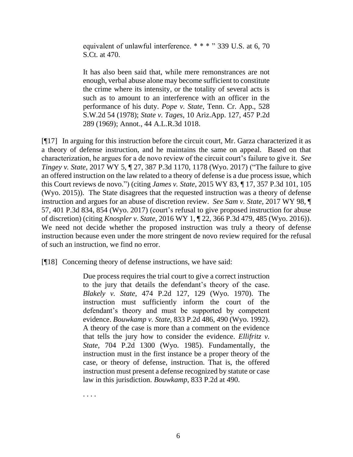equivalent of unlawful interference. \* \* \* " 339 U.S. at 6, 70 [S.Ct. at 470.](http://www.westlaw.com/Link/Document/FullText?findType=Y&serNum=1950116859&pubNum=708&originatingDoc=I9dfd735df39511d9bf60c1d57ebc853e&refType=RP&fi=co_pp_sp_708_470&originationContext=document&vr=3.0&rs=cblt1.0&transitionType=DocumentItem&contextData=(sc.DocLink)#co_pp_sp_708_470)

It has also been said that, while mere remonstrances are not enough, verbal abuse alone may become sufficient to constitute the crime where its intensity, or the totality of several acts is such as to amount to an interference with an officer in the performance of his duty. *Pope v. State*, Tenn. Cr. App., 528 S.W.2d 54 (1978); *State v. Tages*, 10 Ariz.App. 127, 457 P.2d 289 (1969); Annot., [44 A.L.R.3d 1018.](http://www.westlaw.com/Link/Document/FullText?findType=Y&serNum=1972018215&pubNum=108&originatingDoc=I9dfd735df39511d9bf60c1d57ebc853e&refType=RP&originationContext=document&vr=3.0&rs=cblt1.0&transitionType=DocumentItem&contextData=(sc.DocLink))

[¶17] In arguing for this instruction before the circuit court, Mr. Garza characterized it as a theory of defense instruction, and he maintains the same on appeal. Based on that characterization, he argues for a de novo review of the circuit court's failure to give it. *See Tingey v. State*, 2017 WY 5, ¶ 27, 387 P.3d 1170, 1178 (Wyo. 2017) ("The failure to give an offered instruction on the law related to a theory of defense is a due process issue, which this Court reviews de novo.") (citing *James v. State*, 2015 WY 83, ¶ 17, 357 P.3d 101, 105 (Wyo. 2015)). The State disagrees that the requested instruction was a theory of defense instruction and argues for an abuse of discretion review. *See Sam v. State*, 2017 WY 98, ¶ 57, 401 P.3d 834, 854 (Wyo. 2017) (court's refusal to give proposed instruction for abuse of discretion) (citing *Knospler v. State*, 2016 WY 1, ¶ 22, 366 P.3d 479, 485 (Wyo. 2016)). We need not decide whether the proposed instruction was truly a theory of defense instruction because even under the more stringent de novo review required for the refusal of such an instruction, we find no error.

[¶18] Concerning theory of defense instructions, we have said:

Due process requires the trial court to give a correct instruction to the jury that details the defendant's theory of the case. *Blakely v. State*, 474 P.2d 127, 129 (Wyo. 1970). The instruction must sufficiently inform the court of the defendant's theory and must be supported by competent evidence. *Bouwkamp v. State*, 833 P.2d 486, 490 (Wyo. 1992). A theory of the case is more than a comment on the evidence that tells the jury how to consider the evidence. *Ellifritz v. State*, 704 P.2d 1300 (Wyo. 1985). Fundamentally, the instruction must in the first instance be a proper theory of the case, or theory of defense, instruction. That is, the offered instruction must present a defense recognized by statute or case law in this jurisdiction. *Bouwkamp*, 833 P.2d at 490.

. . . .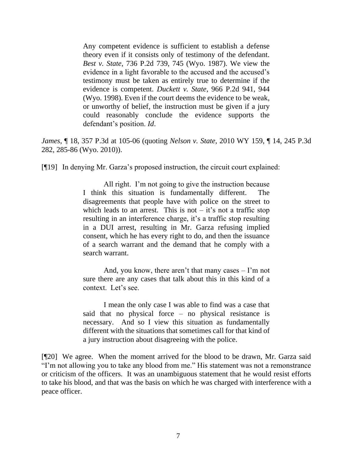Any competent evidence is sufficient to establish a defense theory even if it consists only of testimony of the defendant. *Best v. State*, 736 P.2d 739, 745 (Wyo. 1987). We view the evidence in a light favorable to the accused and the accused's testimony must be taken as entirely true to determine if the evidence is competent. *Duckett v. State*, 966 P.2d 941, 944 (Wyo. 1998). Even if the court deems the evidence to be weak, or unworthy of belief, the instruction must be given if a jury could reasonably conclude the evidence supports the defendant's position. *Id*.

*James*, ¶ 18, 357 P.3d at 105-06 (quoting *Nelson v. State*[, 2010 WY 159, ¶ 14, 245 P.3d](http://www.westlaw.com/Link/Document/FullText?findType=Y&serNum=2023973578&pubNum=0004645&originatingDoc=I2ebfc35b2c0711e5a807ad48145ed9f1&refType=RP&fi=co_pp_sp_4645_285&originationContext=document&vr=3.0&rs=cblt1.0&transitionType=DocumentItem&contextData=(sc.Keycite)#co_pp_sp_4645_285)  [282, 285-86](http://www.westlaw.com/Link/Document/FullText?findType=Y&serNum=2023973578&pubNum=0004645&originatingDoc=I2ebfc35b2c0711e5a807ad48145ed9f1&refType=RP&fi=co_pp_sp_4645_285&originationContext=document&vr=3.0&rs=cblt1.0&transitionType=DocumentItem&contextData=(sc.Keycite)#co_pp_sp_4645_285) (Wyo. 2010)).

[¶19] In denying Mr. Garza's proposed instruction, the circuit court explained:

All right. I'm not going to give the instruction because I think this situation is fundamentally different. The disagreements that people have with police on the street to which leads to an arrest. This is not – it's not a traffic stop resulting in an interference charge, it's a traffic stop resulting in a DUI arrest, resulting in Mr. Garza refusing implied consent, which he has every right to do, and then the issuance of a search warrant and the demand that he comply with a search warrant.

And, you know, there aren't that many cases – I'm not sure there are any cases that talk about this in this kind of a context. Let's see.

I mean the only case I was able to find was a case that said that no physical force – no physical resistance is necessary. And so I view this situation as fundamentally different with the situations that sometimes call for that kind of a jury instruction about disagreeing with the police.

[¶20] We agree. When the moment arrived for the blood to be drawn, Mr. Garza said "I'm not allowing you to take any blood from me." His statement was not a remonstrance or criticism of the officers. It was an unambiguous statement that he would resist efforts to take his blood, and that was the basis on which he was charged with interference with a peace officer.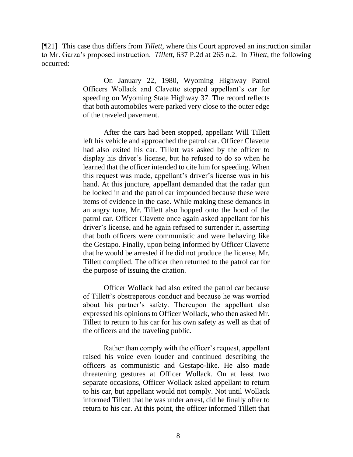[¶21] This case thus differs from *Tillett*, where this Court approved an instruction similar to Mr. Garza's proposed instruction. *Tillett*, 637 P.2d at 265 n.2. In *Tillett*, the following occurred:

> On January 22, 1980, Wyoming Highway Patrol Officers Wollack and Clavette stopped appellant's car for speeding on Wyoming State Highway 37. The record reflects that both automobiles were parked very close to the outer edge of the traveled pavement.

> After the cars had been stopped, appellant Will Tillett left his vehicle and approached the patrol car. Officer Clavette had also exited his car. Tillett was asked by the officer to display his driver's license, but he refused to do so when he learned that the officer intended to cite him for speeding. When this request was made, appellant's driver's license was in his hand. At this juncture, appellant demanded that the radar gun be locked in and the patrol car impounded because these were items of evidence in the case. While making these demands in an angry tone, Mr. Tillett also hopped onto the hood of the patrol car. Officer Clavette once again asked appellant for his driver's license, and he again refused to surrender it, asserting that both officers were communistic and were behaving like the Gestapo. Finally, upon being informed by Officer Clavette that he would be arrested if he did not produce the license, Mr. Tillett complied. The officer then returned to the patrol car for the purpose of issuing the citation.

> Officer Wollack had also exited the patrol car because of Tillett's obstreperous conduct and because he was worried about his partner's safety. Thereupon the appellant also expressed his opinions to Officer Wollack, who then asked Mr. Tillett to return to his car for his own safety as well as that of the officers and the traveling public.

> Rather than comply with the officer's request, appellant raised his voice even louder and continued describing the officers as communistic and Gestapo-like. He also made threatening gestures at Officer Wollack. On at least two separate occasions, Officer Wollack asked appellant to return to his car, but appellant would not comply. Not until Wollack informed Tillett that he was under arrest, did he finally offer to return to his car. At this point, the officer informed Tillett that